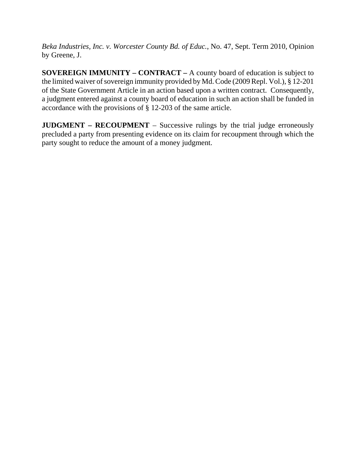*Beka Industries, Inc. v. Worcester County Bd. of Educ.*, No. 47, Sept. Term 2010, Opinion by Greene, J.

**SOVEREIGN IMMUNITY – CONTRACT –** A county board of education is subject to the limited waiver of sovereign immunity provided by Md. Code (2009 Repl. Vol.), § 12-201 of the State Government Article in an action based upon a written contract. Consequently, a judgment entered against a county board of education in such an action shall be funded in accordance with the provisions of § 12-203 of the same article.

**JUDGMENT – RECOUPMENT** – Successive rulings by the trial judge erroneously precluded a party from presenting evidence on its claim for recoupment through which the party sought to reduce the amount of a money judgment.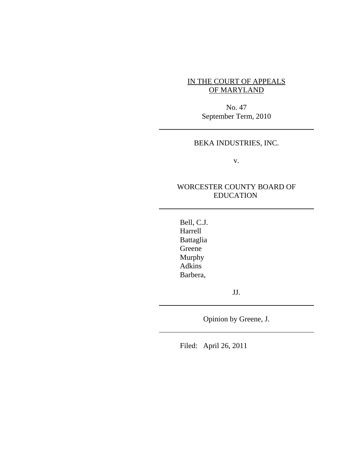# IN THE COURT OF APPEALS OF MARYLAND

No. 47 September Term, 2010

## BEKA INDUSTRIES, INC.

v.

# WORCESTER COUNTY BOARD OF EDUCATION

Bell, C.J. Harrell Battaglia Greene Murphy Adkins Barbera,

JJ.

Opinion by Greene, J.

Filed: April 26, 2011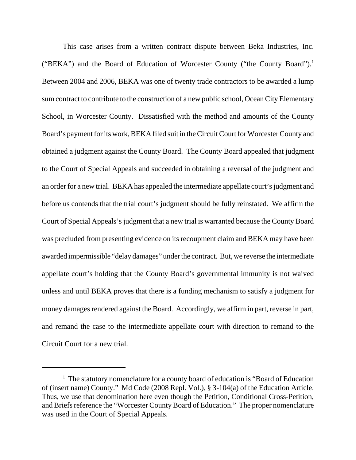This case arises from a written contract dispute between Beka Industries, Inc. ("BEKA") and the Board of Education of Worcester County ("the County Board").1 Between 2004 and 2006, BEKA was one of twenty trade contractors to be awarded a lump sum contract to contribute to the construction of a new public school, Ocean City Elementary School, in Worcester County. Dissatisfied with the method and amounts of the County Board's payment for its work, BEKA filed suit in the Circuit Court for Worcester County and obtained a judgment against the County Board. The County Board appealed that judgment to the Court of Special Appeals and succeeded in obtaining a reversal of the judgment and an order for a new trial. BEKA has appealed the intermediate appellate court's judgment and before us contends that the trial court's judgment should be fully reinstated. We affirm the Court of Special Appeals's judgment that a new trial is warranted because the County Board was precluded from presenting evidence on its recoupment claim and BEKA may have been awarded impermissible "delay damages" under the contract. But, we reverse the intermediate appellate court's holding that the County Board's governmental immunity is not waived unless and until BEKA proves that there is a funding mechanism to satisfy a judgment for money damages rendered against the Board. Accordingly, we affirm in part, reverse in part, and remand the case to the intermediate appellate court with direction to remand to the Circuit Court for a new trial.

<sup>&</sup>lt;sup>1</sup> The statutory nomenclature for a county board of education is "Board of Education of (insert name) County." Md Code (2008 Repl. Vol.), § 3-104(a) of the Education Article. Thus, we use that denomination here even though the Petition, Conditional Cross-Petition, and Briefs reference the "Worcester County Board of Education." The proper nomenclature was used in the Court of Special Appeals.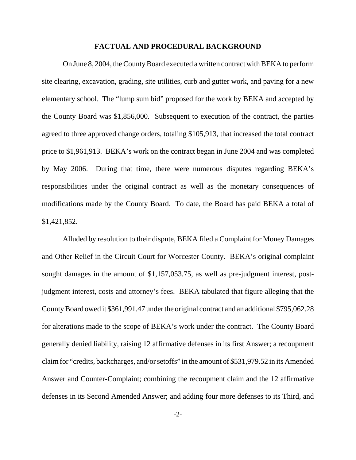#### **FACTUAL AND PROCEDURAL BACKGROUND**

On June 8, 2004, the County Board executed a written contract with BEKA to perform site clearing, excavation, grading, site utilities, curb and gutter work, and paving for a new elementary school. The "lump sum bid" proposed for the work by BEKA and accepted by the County Board was \$1,856,000. Subsequent to execution of the contract, the parties agreed to three approved change orders, totaling \$105,913, that increased the total contract price to \$1,961,913. BEKA's work on the contract began in June 2004 and was completed by May 2006. During that time, there were numerous disputes regarding BEKA's responsibilities under the original contract as well as the monetary consequences of modifications made by the County Board. To date, the Board has paid BEKA a total of \$1,421,852.

Alluded by resolution to their dispute, BEKA filed a Complaint for Money Damages and Other Relief in the Circuit Court for Worcester County. BEKA's original complaint sought damages in the amount of \$1,157,053.75, as well as pre-judgment interest, postjudgment interest, costs and attorney's fees. BEKA tabulated that figure alleging that the County Board owed it \$361,991.47 under the original contract and an additional \$795,062.28 for alterations made to the scope of BEKA's work under the contract. The County Board generally denied liability, raising 12 affirmative defenses in its first Answer; a recoupment claim for "credits, backcharges, and/or setoffs" in the amount of \$531,979.52 in its Amended Answer and Counter-Complaint; combining the recoupment claim and the 12 affirmative defenses in its Second Amended Answer; and adding four more defenses to its Third, and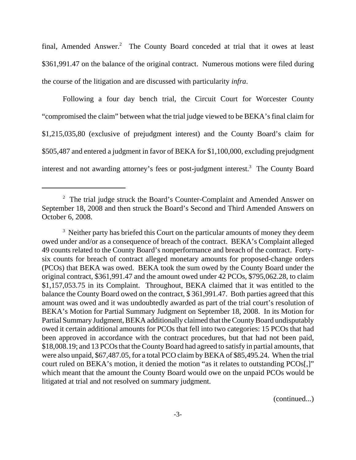final, Amended Answer.<sup>2</sup> The County Board conceded at trial that it owes at least \$361,991.47 on the balance of the original contract. Numerous motions were filed during the course of the litigation and are discussed with particularity *infra*.

Following a four day bench trial, the Circuit Court for Worcester County "compromised the claim" between what the trial judge viewed to be BEKA's final claim for \$1,215,035,80 (exclusive of prejudgment interest) and the County Board's claim for \$505,487 and entered a judgment in favor of BEKA for \$1,100,000, excluding prejudgment interest and not awarding attorney's fees or post-judgment interest.<sup>3</sup> The County Board

(continued...)

<sup>&</sup>lt;sup>2</sup> The trial judge struck the Board's Counter-Complaint and Amended Answer on September 18, 2008 and then struck the Board's Second and Third Amended Answers on October 6, 2008.

<sup>&</sup>lt;sup>3</sup> Neither party has briefed this Court on the particular amounts of money they deem owed under and/or as a consequence of breach of the contract. BEKA's Complaint alleged 49 counts related to the County Board's nonperformance and breach of the contract. Fortysix counts for breach of contract alleged monetary amounts for proposed-change orders (PCOs) that BEKA was owed. BEKA took the sum owed by the County Board under the original contract, \$361,991.47 and the amount owed under 42 PCOs, \$795,062.28, to claim \$1,157,053.75 in its Complaint. Throughout, BEKA claimed that it was entitled to the balance the County Board owed on the contract, \$ 361,991.47. Both parties agreed that this amount was owed and it was undoubtedly awarded as part of the trial court's resolution of BEKA's Motion for Partial Summary Judgment on September 18, 2008. In its Motion for Partial Summary Judgment, BEKA additionally claimed that the County Board undisputably owed it certain additional amounts for PCOs that fell into two categories: 15 PCOs that had been approved in accordance with the contract procedures, but that had not been paid, \$18,008.19; and 13 PCOs that the County Board had agreed to satisfy in partial amounts, that were also unpaid, \$67,487.05, for a total PCO claim by BEKA of \$85,495.24. When the trial court ruled on BEKA's motion, it denied the motion "as it relates to outstanding PCOs[,]" which meant that the amount the County Board would owe on the unpaid PCOs would be litigated at trial and not resolved on summary judgment.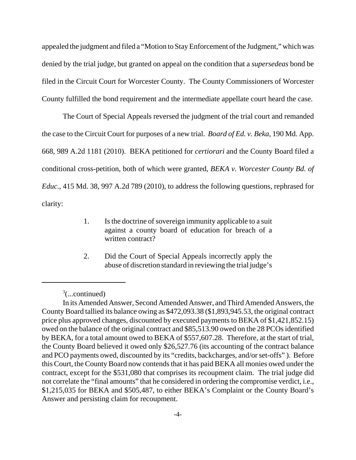appealed the judgment and filed a "Motion to Stay Enforcement of the Judgment," which was denied by the trial judge, but granted on appeal on the condition that a *supersedeas* bond be filed in the Circuit Court for Worcester County. The County Commissioners of Worcester County fulfilled the bond requirement and the intermediate appellate court heard the case.

The Court of Special Appeals reversed the judgment of the trial court and remanded the case to the Circuit Court for purposes of a new trial. *Board of Ed. v. Beka*, 190 Md. App. 668, 989 A.2d 1181 (2010). BEKA petitioned for *certiorari* and the County Board filed a conditional cross-petition, both of which were granted, *BEKA v. Worcester County Bd. of Educ.*, 415 Md. 38, 997 A.2d 789 (2010), to address the following questions, rephrased for clarity:

- 1. Is the doctrine of sovereign immunity applicable to a suit against a county board of education for breach of a written contract?
- 2. Did the Court of Special Appeals incorrectly apply the abuse of discretion standard in reviewing the trial judge's

 $3$ (...continued)

In its Amended Answer, Second Amended Answer, and Third Amended Answers, the County Board tallied its balance owing as \$472,093.38 (\$1,893,945.53, the original contract price plus approved changes, discounted by executed payments to BEKA of \$1,421,852.15) owed on the balance of the original contract and \$85,513.90 owed on the 28 PCOs identified by BEKA, for a total amount owed to BEKA of \$557,607.28. Therefore, at the start of trial, the County Board believed it owed only \$26,527.76 (its accounting of the contract balance and PCO payments owed, discounted by its "credits, backcharges, and/or set-offs" ). Before this Court, the County Board now contends that it has paid BEKA all monies owed under the contract, except for the \$531,080 that comprises its recoupment claim. The trial judge did not correlate the "final amounts" that he considered in ordering the compromise verdict, i.e., \$1,215,035 for BEKA and \$505,487, to either BEKA's Complaint or the County Board's Answer and persisting claim for recoupment.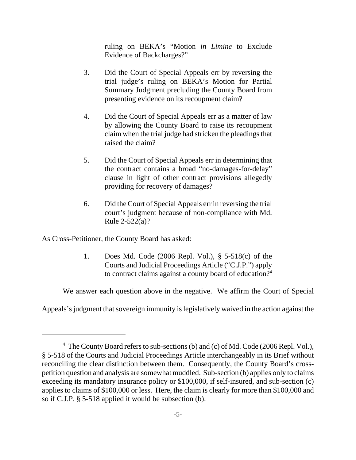ruling on BEKA's "Motion *in Limine* to Exclude Evidence of Backcharges?"

- 3. Did the Court of Special Appeals err by reversing the trial judge's ruling on BEKA's Motion for Partial Summary Judgment precluding the County Board from presenting evidence on its recoupment claim?
- 4. Did the Court of Special Appeals err as a matter of law by allowing the County Board to raise its recoupment claim when the trial judge had stricken the pleadings that raised the claim?
- 5. Did the Court of Special Appeals err in determining that the contract contains a broad "no-damages-for-delay" clause in light of other contract provisions allegedly providing for recovery of damages?
- 6. Did the Court of Special Appeals err in reversing the trial court's judgment because of non-compliance with Md. Rule 2-522(a)?

As Cross-Petitioner, the County Board has asked:

1. Does Md. Code (2006 Repl. Vol.), § 5-518(c) of the Courts and Judicial Proceedings Article ("C.J.P.") apply to contract claims against a county board of education?<sup>4</sup>

We answer each question above in the negative. We affirm the Court of Special

Appeals's judgment that sovereign immunity is legislatively waived in the action against the

<sup>&</sup>lt;sup>4</sup> The County Board refers to sub-sections (b) and (c) of Md. Code (2006 Repl. Vol.), § 5-518 of the Courts and Judicial Proceedings Article interchangeably in its Brief without reconciling the clear distinction between them. Consequently, the County Board's crosspetition question and analysis are somewhat muddled. Sub-section (b) applies only to claims exceeding its mandatory insurance policy or \$100,000, if self-insured, and sub-section (c) applies to claims of \$100,000 or less. Here, the claim is clearly for more than \$100,000 and so if C.J.P. § 5-518 applied it would be subsection (b).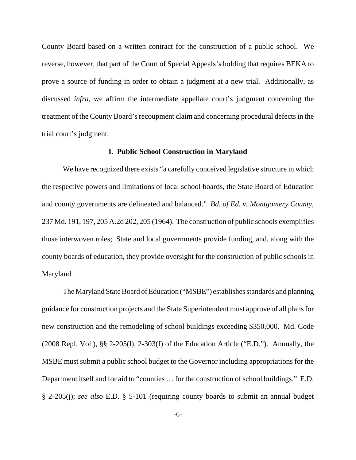County Board based on a written contract for the construction of a public school. We reverse, however, that part of the Court of Special Appeals's holding that requires BEKA to prove a source of funding in order to obtain a judgment at a new trial. Additionally, as discussed *infra*, we affirm the intermediate appellate court's judgment concerning the treatment of the County Board's recoupment claim and concerning procedural defects in the trial court's judgment.

### **I. Public School Construction in Maryland**

We have recognized there exists "a carefully conceived legislative structure in which the respective powers and limitations of local school boards, the State Board of Education and county governments are delineated and balanced." *Bd. of Ed. v. Montgomery County*, 237 Md. 191, 197, 205 A.2d 202, 205 (1964). The construction of public schools exemplifies those interwoven roles; State and local governments provide funding, and, along with the county boards of education, they provide oversight for the construction of public schools in Maryland.

The Maryland State Board of Education ("MSBE") establishes standards and planning guidance for construction projects and the State Superintendent must approve of all plans for new construction and the remodeling of school buildings exceeding \$350,000. Md. Code (2008 Repl. Vol.), §§ 2-205(l), 2-303(f) of the Education Article ("E.D."). Annually, the MSBE must submit a public school budget to the Governor including appropriations for the Department itself and for aid to "counties … for the construction of school buildings." E.D. § 2-205(j); *see also* E.D. § 5-101 (requiring county boards to submit an annual budget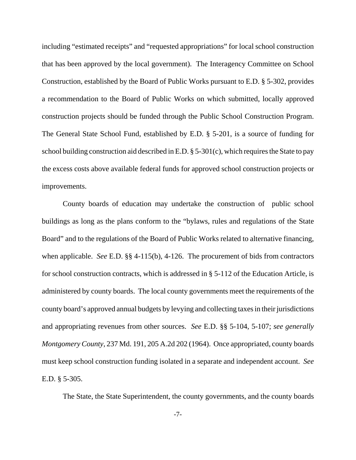including "estimated receipts" and "requested appropriations" for local school construction that has been approved by the local government). The Interagency Committee on School Construction, established by the Board of Public Works pursuant to E.D. § 5-302, provides a recommendation to the Board of Public Works on which submitted, locally approved construction projects should be funded through the Public School Construction Program. The General State School Fund, established by E.D. § 5-201, is a source of funding for school building construction aid described in E.D. § 5-301(c), which requires the State to pay the excess costs above available federal funds for approved school construction projects or improvements.

County boards of education may undertake the construction of public school buildings as long as the plans conform to the "bylaws, rules and regulations of the State Board" and to the regulations of the Board of Public Works related to alternative financing, when applicable. *See* E.D. §§ 4-115(b), 4-126. The procurement of bids from contractors for school construction contracts, which is addressed in § 5-112 of the Education Article, is administered by county boards. The local county governments meet the requirements of the county board's approved annual budgets by levying and collecting taxes in their jurisdictions and appropriating revenues from other sources. *See* E.D. §§ 5-104, 5-107; *see generally Montgomery County*, 237 Md. 191, 205 A.2d 202 (1964). Once appropriated, county boards must keep school construction funding isolated in a separate and independent account. *See* E.D. § 5-305.

The State, the State Superintendent, the county governments, and the county boards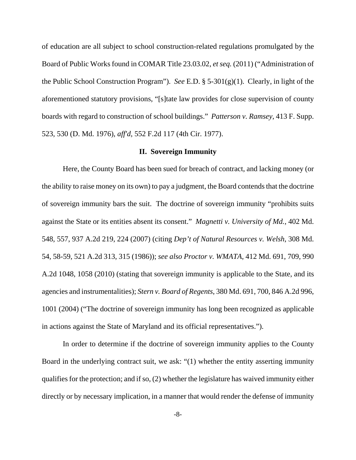of education are all subject to school construction-related regulations promulgated by the Board of Public Works found in COMAR Title 23.03.02, *et seq.* (2011) ("Administration of the Public School Construction Program"). *See* E.D. § 5-301(g)(1). Clearly, in light of the aforementioned statutory provisions, "[s]tate law provides for close supervision of county boards with regard to construction of school buildings." *Patterson v. Ramsey*, 413 F. Supp. 523, 530 (D. Md. 1976), *aff'd*, 552 F.2d 117 (4th Cir. 1977).

### **II. Sovereign Immunity**

Here, the County Board has been sued for breach of contract, and lacking money (or the ability to raise money on its own) to pay a judgment, the Board contends that the doctrine of sovereign immunity bars the suit. The doctrine of sovereign immunity "prohibits suits against the State or its entities absent its consent." *Magnetti v. University of Md.*, 402 Md. 548, 557, 937 A.2d 219, 224 (2007) (citing *Dep't of Natural Resources v. Welsh*, 308 Md. 54, 58-59, 521 A.2d 313, 315 (1986)); *see also Proctor v. WMATA*, 412 Md. 691, 709, 990 A.2d 1048, 1058 (2010) (stating that sovereign immunity is applicable to the State, and its agencies and instrumentalities); *Stern v. Board of Regents*, 380 Md. 691, 700, 846 A.2d 996, 1001 (2004) ("The doctrine of sovereign immunity has long been recognized as applicable in actions against the State of Maryland and its official representatives.").

In order to determine if the doctrine of sovereign immunity applies to the County Board in the underlying contract suit, we ask: "(1) whether the entity asserting immunity qualifies for the protection; and if so, (2) whether the legislature has waived immunity either directly or by necessary implication, in a manner that would render the defense of immunity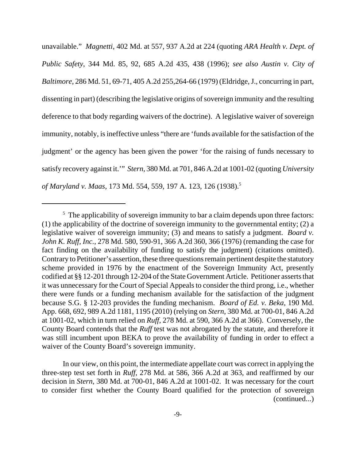unavailable." *Magnetti*, 402 Md. at 557, 937 A.2d at 224 (quoting *ARA Health v. Dept. of Public Safety*, 344 Md. 85, 92, 685 A.2d 435, 438 (1996); *see also Austin v. City of Baltimore*, 286 Md. 51, 69-71, 405 A.2d 255,264-66 (1979) (Eldridge, J., concurring in part, dissenting in part) (describing the legislative origins of sovereign immunity and the resulting deference to that body regarding waivers of the doctrine). A legislative waiver of sovereign immunity, notably, is ineffective unless "there are 'funds available for the satisfaction of the judgment' or the agency has been given the power 'for the raising of funds necessary to satisfy recovery against it.'" *Stern*, 380 Md. at 701, 846 A.2d at 1001-02 (quoting *University of Maryland v. Maas*, 173 Md. 554, 559, 197 A. 123, 126 (1938).5

In our view, on this point, the intermediate appellate court was correct in applying the three-step test set forth in *Ruff*, 278 Md. at 586, 366 A.2d at 363, and reaffirmed by our decision in *Stern*, 380 Md. at 700-01, 846 A.2d at 1001-02. It was necessary for the court to consider first whether the County Board qualified for the protection of sovereign (continued...)

 $<sup>5</sup>$  The applicability of sovereign immunity to bar a claim depends upon three factors:</sup> (1) the applicability of the doctrine of sovereign immunity to the governmental entity; (2) a legislative waiver of sovereign immunity; (3) and means to satisfy a judgment. *Board v. John K. Ruff, Inc.*, 278 Md. 580, 590-91, 366 A.2d 360, 366 (1976) (remanding the case for fact finding on the availability of funding to satisfy the judgment) (citations omitted). Contrary to Petitioner's assertion, these three questions remain pertinent despite the statutory scheme provided in 1976 by the enactment of the Sovereign Immunity Act, presently codified at §§ 12-201 through 12-204 of the State Government Article. Petitioner asserts that it was unnecessary for the Court of Special Appeals to consider the third prong, i.e., whether there were funds or a funding mechanism available for the satisfaction of the judgment because S.G. § 12-203 provides the funding mechanism. *Board of Ed. v. Beka*, 190 Md. App. 668, 692, 989 A.2d 1181, 1195 (2010) (relying on *Stern*, 380 Md. at 700-01, 846 A.2d at 1001-02, which in turn relied on *Ruff*, 278 Md. at 590, 366 A.2d at 366). Conversely, the County Board contends that the *Ruff* test was not abrogated by the statute, and therefore it was still incumbent upon BEKA to prove the availability of funding in order to effect a waiver of the County Board's sovereign immunity.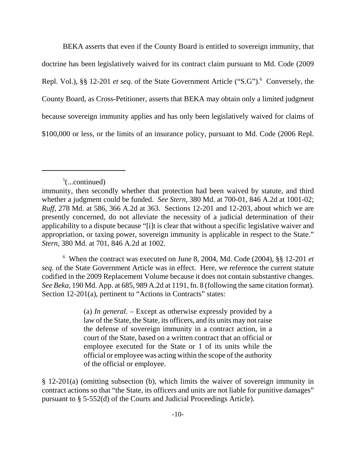BEKA asserts that even if the County Board is entitled to sovereign immunity, that doctrine has been legislatively waived for its contract claim pursuant to Md. Code (2009 Repl. Vol.), §§ 12-201 *et seq.* of the State Government Article ("S.G").<sup>6</sup> Conversely, the County Board, as Cross-Petitioner, asserts that BEKA may obtain only a limited judgment because sovereign immunity applies and has only been legislatively waived for claims of \$100,000 or less, or the limits of an insurance policy, pursuant to Md. Code (2006 Repl.

6 When the contract was executed on June 8, 2004, Md. Code (2004), §§ 12-201 *et seq.* of the State Government Article was in effect. Here, we reference the current statute codified in the 2009 Replacement Volume because it does not contain substantive changes. *See Beka*, 190 Md. App. at 685, 989 A.2d at 1191, fn. 8 (following the same citation format). Section 12-201(a), pertinent to "Actions in Contracts" states:

> (a) *In general*. – Except as otherwise expressly provided by a law of the State, the State, its officers, and its units may not raise the defense of sovereign immunity in a contract action, in a court of the State, based on a written contract that an official or employee executed for the State or 1 of its units while the official or employee was acting within the scope of the authority of the official or employee.

§ 12-201(a) (omitting subsection (b), which limits the waiver of sovereign immunity in contract actions so that "the State, its officers and units are not liable for punitive damages" pursuant to § 5-552(d) of the Courts and Judicial Proceedings Article).

 $5$ (...continued)

immunity, then secondly whether that protection had been waived by statute, and third whether a judgment could be funded. *See Stern*, 380 Md. at 700-01, 846 A.2d at 1001-02; *Ruff*, 278 Md. at 586, 366 A.2d at 363. Sections 12-201 and 12-203, about which we are presently concerned, do not alleviate the necessity of a judicial determination of their applicability to a dispute because "[i]t is clear that without a specific legislative waiver and appropriation, or taxing power, sovereign immunity is applicable in respect to the State." *Stern*, 380 Md. at 701, 846 A.2d at 1002.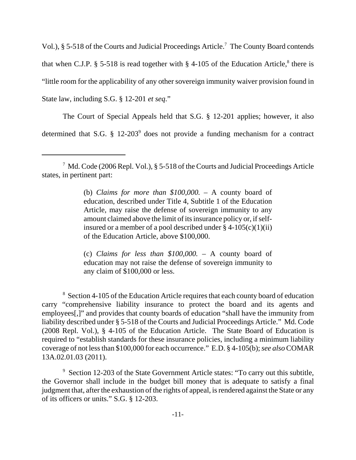Vol.), § 5-518 of the Courts and Judicial Proceedings Article.<sup>7</sup> The County Board contends that when C.J.P. § 5-518 is read together with § 4-105 of the Education Article,<sup>8</sup> there is "little room for the applicability of any other sovereign immunity waiver provision found in State law, including S.G. § 12-201 *et seq*."

The Court of Special Appeals held that S.G. § 12-201 applies; however, it also determined that S.G.  $\S$  12-203<sup>9</sup> does not provide a funding mechanism for a contract

(b) *Claims for more than \$100,000.* – A county board of education, described under Title 4, Subtitle 1 of the Education Article, may raise the defense of sovereign immunity to any amount claimed above the limit of its insurance policy or, if selfinsured or a member of a pool described under  $\S$  4-105(c)(1)(ii) of the Education Article, above \$100,000.

(c) *Claims for less than \$100,000.* – A county board of education may not raise the defense of sovereign immunity to any claim of \$100,000 or less.

<sup>8</sup> Section 4-105 of the Education Article requires that each county board of education carry "comprehensive liability insurance to protect the board and its agents and employees[,]" and provides that county boards of education "shall have the immunity from liability described under § 5-518 of the Courts and Judicial Proceedings Article." Md. Code (2008 Repl. Vol.), § 4-105 of the Education Article. The State Board of Education is required to "establish standards for these insurance policies, including a minimum liability coverage of not less than \$100,000 for each occurrence." E.D. § 4-105(b); *see also* COMAR 13A.02.01.03 (2011).

<sup>9</sup> Section 12-203 of the State Government Article states: "To carry out this subtitle, the Governor shall include in the budget bill money that is adequate to satisfy a final judgment that, after the exhaustion of the rights of appeal, is rendered against the State or any of its officers or units." S.G. § 12-203.

<sup>&</sup>lt;sup>7</sup> Md. Code (2006 Repl. Vol.), § 5-518 of the Courts and Judicial Proceedings Article states, in pertinent part: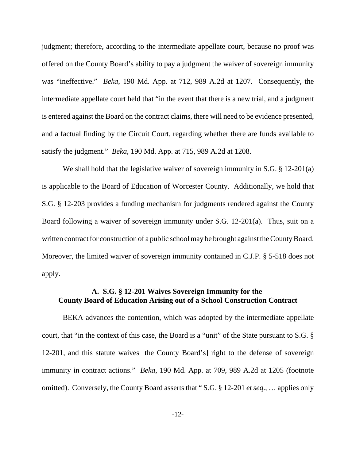judgment; therefore, according to the intermediate appellate court, because no proof was offered on the County Board's ability to pay a judgment the waiver of sovereign immunity was "ineffective." *Beka*, 190 Md. App. at 712, 989 A.2d at 1207. Consequently, the intermediate appellate court held that "in the event that there is a new trial, and a judgment is entered against the Board on the contract claims, there will need to be evidence presented, and a factual finding by the Circuit Court, regarding whether there are funds available to satisfy the judgment." *Beka*, 190 Md. App. at 715, 989 A.2d at 1208.

We shall hold that the legislative waiver of sovereign immunity in S.G. § 12-201(a) is applicable to the Board of Education of Worcester County. Additionally, we hold that S.G. § 12-203 provides a funding mechanism for judgments rendered against the County Board following a waiver of sovereign immunity under S.G. 12-201(a). Thus, suit on a written contract for construction of a public school may be brought against the County Board. Moreover, the limited waiver of sovereign immunity contained in C.J.P. § 5-518 does not apply.

# **A. S.G. § 12-201 Waives Sovereign Immunity for the County Board of Education Arising out of a School Construction Contract**

BEKA advances the contention, which was adopted by the intermediate appellate court, that "in the context of this case, the Board is a "unit" of the State pursuant to S.G. § 12-201, and this statute waives [the County Board's] right to the defense of sovereign immunity in contract actions." *Beka*, 190 Md. App. at 709, 989 A.2d at 1205 (footnote omitted). Conversely, the County Board asserts that " S.G. § 12-201 *et seq*., … applies only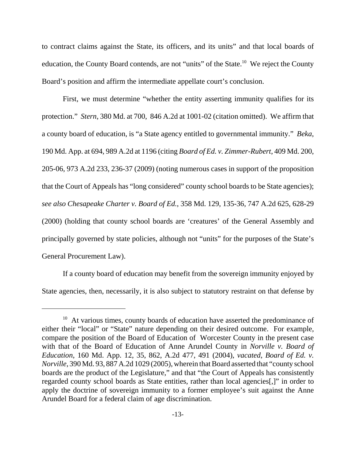to contract claims against the State, its officers, and its units" and that local boards of education, the County Board contends, are not "units" of the State.<sup>10</sup> We reject the County Board's position and affirm the intermediate appellate court's conclusion.

First, we must determine "whether the entity asserting immunity qualifies for its protection." *Stern*, 380 Md. at 700, 846 A.2d at 1001-02 (citation omitted). We affirm that a county board of education, is "a State agency entitled to governmental immunity." *Beka*, 190 Md. App. at 694, 989 A.2d at 1196 (citing *Board of Ed. v. Zimmer-Rubert*, 409 Md. 200, 205-06, 973 A.2d 233, 236-37 (2009) (noting numerous cases in support of the proposition that the Court of Appeals has "long considered" county school boards to be State agencies); *see also Chesapeake Charter v. Board of Ed.*, 358 Md. 129, 135-36, 747 A.2d 625, 628-29 (2000) (holding that county school boards are 'creatures' of the General Assembly and principally governed by state policies, although not "units" for the purposes of the State's General Procurement Law).

If a county board of education may benefit from the sovereign immunity enjoyed by State agencies, then, necessarily, it is also subject to statutory restraint on that defense by

<sup>&</sup>lt;sup>10</sup> At various times, county boards of education have asserted the predominance of either their "local" or "State" nature depending on their desired outcome. For example, compare the position of the Board of Education of Worcester County in the present case with that of the Board of Education of Anne Arundel County in *Norville v. Board of Education*, 160 Md. App. 12, 35, 862, A.2d 477, 491 (2004), *vacated*, *Board of Ed. v. Norville*, 390 Md. 93, 887 A.2d 1029 (2005), wherein that Board asserted that "county school boards are the product of the Legislature," and that "the Court of Appeals has consistently regarded county school boards as State entities, rather than local agencies[,]" in order to apply the doctrine of sovereign immunity to a former employee's suit against the Anne Arundel Board for a federal claim of age discrimination.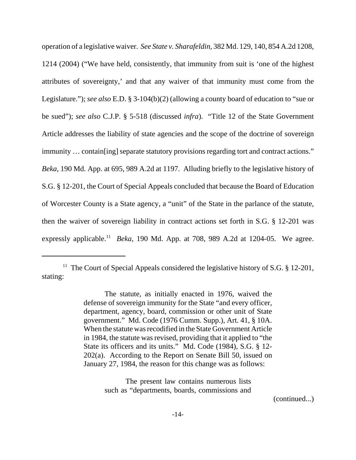operation of a legislative waiver. *See State v. Sharafeldin*, 382 Md. 129, 140, 854 A.2d 1208, 1214 (2004) ("We have held, consistently, that immunity from suit is 'one of the highest attributes of sovereignty,' and that any waiver of that immunity must come from the Legislature."); *see also* E.D. § 3-104(b)(2) (allowing a county board of education to "sue or be sued"); *see also* C.J.P. § 5-518 (discussed *infra*). "Title 12 of the State Government Article addresses the liability of state agencies and the scope of the doctrine of sovereign immunity … contain[ing] separate statutory provisions regarding tort and contract actions." *Beka*, 190 Md. App. at 695, 989 A.2d at 1197. Alluding briefly to the legislative history of S.G. § 12-201, the Court of Special Appeals concluded that because the Board of Education of Worcester County is a State agency, a "unit" of the State in the parlance of the statute, then the waiver of sovereign liability in contract actions set forth in S.G. § 12-201 was expressly applicable.<sup>11</sup> *Beka*, 190 Md. App. at 708, 989 A.2d at 1204-05. We agree.

The present law contains numerous lists such as "departments, boards, commissions and

(continued...)

<sup>&</sup>lt;sup>11</sup> The Court of Special Appeals considered the legislative history of S.G.  $\S$  12-201, stating:

The statute, as initially enacted in 1976, waived the defense of sovereign immunity for the State "and every officer, department, agency, board, commission or other unit of State government." Md. Code (1976 Cumm. Supp.), Art. 41, § 10A. When the statute was recodified in the State Government Article in 1984, the statute was revised, providing that it applied to "the State its officers and its units." Md. Code (1984), S.G. § 12- 202(a). According to the Report on Senate Bill 50, issued on January 27, 1984, the reason for this change was as follows: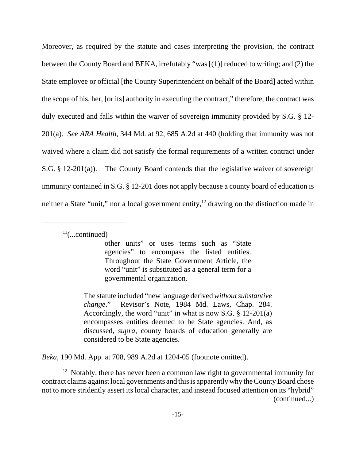Moreover, as required by the statute and cases interpreting the provision, the contract between the County Board and BEKA, irrefutably "was [(1)] reduced to writing; and (2) the State employee or official [the County Superintendent on behalf of the Board] acted within the scope of his, her, [or its] authority in executing the contract," therefore, the contract was duly executed and falls within the waiver of sovereign immunity provided by S.G. § 12- 201(a). *See ARA Health*, 344 Md. at 92, 685 A.2d at 440 (holding that immunity was not waived where a claim did not satisfy the formal requirements of a written contract under S.G. § 12-201(a)). The County Board contends that the legislative waiver of sovereign immunity contained in S.G. § 12-201 does not apply because a county board of education is neither a State "unit," nor a local government entity,<sup>12</sup> drawing on the distinction made in

 $11$ (...continued)

other units" or uses terms such as "State agencies" to encompass the listed entities. Throughout the State Government Article, the word "unit" is substituted as a general term for a governmental organization.

The statute included "new language derived *without substantive change*." Revisor's Note, 1984 Md. Laws, Chap. 284. Accordingly, the word "unit" in what is now S.G. § 12-201(a) encompasses entities deemed to be State agencies. And, as discussed, *supra*, county boards of education generally are considered to be State agencies.

*Beka*, 190 Md. App. at 708, 989 A.2d at 1204-05 (footnote omitted).

 $12$  Notably, there has never been a common law right to governmental immunity for contract claims against local governments and this is apparently why the County Board chose not to more stridently assert its local character, and instead focused attention on its "hybrid" (continued...)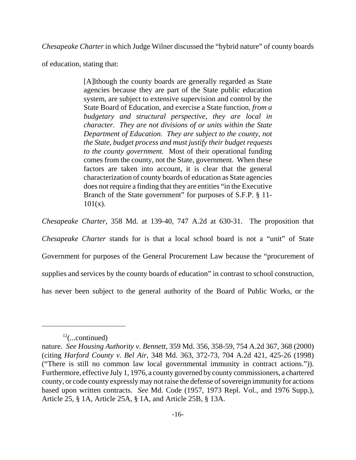*Chesapeake Charter* in which Judge Wilner discussed the "hybrid nature" of county boards

of education, stating that:

[A]lthough the county boards are generally regarded as State agencies because they are part of the State public education system, are subject to extensive supervision and control by the State Board of Education, and exercise a State function, *from a budgetary and structural perspective, they are local in character. They are not divisions of or units within the State Department of Education. They are subject to the county, not the State, budget process and must justify their budget requests to the county government.* Most of their operational funding comes from the county, not the State, government. When these factors are taken into account, it is clear that the general characterization of county boards of education as State agencies does not require a finding that they are entities "in the Executive Branch of the State government" for purposes of S.F.P. § 11-  $101(x)$ .

*Chesapeake Charter*, 358 Md. at 139-40, 747 A.2d at 630-31. The proposition that

*Chesapeake Charter* stands for is that a local school board is not a "unit" of State Government for purposes of the General Procurement Law because the "procurement of supplies and services by the county boards of education" in contrast to school construction, has never been subject to the general authority of the Board of Public Works, or the

 $12$ (...continued)

nature. *See Housing Authority v. Bennett*, 359 Md. 356, 358-59, 754 A.2d 367, 368 (2000) (citing *Harford County v. Bel Air*, 348 Md. 363, 372-73, 704 A.2d 421, 425-26 (1998) ("There is still no common law local governmental immunity in contract actions.")). Furthermore, effective July 1, 1976, a county governed by county commissioners, a chartered county, or code county expressly may not raise the defense of sovereign immunity for actions based upon written contracts. *See* Md. Code (1957, 1973 Repl. Vol., and 1976 Supp.), Article 25, § 1A, Article 25A, § 1A, and Article 25B, § 13A.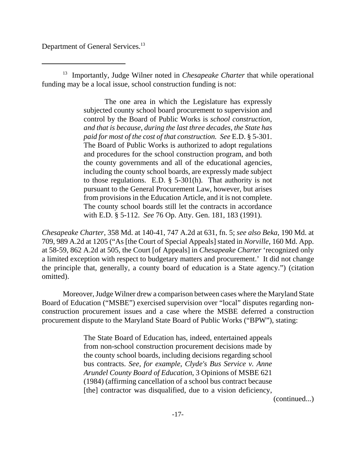Department of General Services.<sup>13</sup>

13 Importantly, Judge Wilner noted in *Chesapeake Charter* that while operational funding may be a local issue, school construction funding is not:

> The one area in which the Legislature has expressly subjected county school board procurement to supervision and control by the Board of Public Works is *school construction*, *and that is because, during the last three decades, the State has paid for most of the cost of that construction. See* E.D. § 5-301. The Board of Public Works is authorized to adopt regulations and procedures for the school construction program, and both the county governments and all of the educational agencies, including the county school boards, are expressly made subject to those regulations. E.D. § 5-301(h). That authority is not pursuant to the General Procurement Law, however, but arises from provisions in the Education Article, and it is not complete. The county school boards still let the contracts in accordance with E.D. § 5-112. *See* 76 Op. Atty. Gen. 181, 183 (1991).

*Chesapeake Charter*, 358 Md. at 140-41, 747 A.2d at 631, fn. 5; *see also Beka*, 190 Md. at 709, 989 A.2d at 1205 ("As [the Court of Special Appeals] stated in *Norville*, 160 Md. App. at 58-59, 862 A.2d at 505, the Court [of Appeals] in *Chesapeake Charter* 'recognized only a limited exception with respect to budgetary matters and procurement.' It did not change the principle that, generally, a county board of education is a State agency.") (citation omitted).

Moreover, Judge Wilner drew a comparison between cases where the Maryland State Board of Education ("MSBE") exercised supervision over "local" disputes regarding nonconstruction procurement issues and a case where the MSBE deferred a construction procurement dispute to the Maryland State Board of Public Works ("BPW"), stating:

> The State Board of Education has, indeed, entertained appeals from non-school construction procurement decisions made by the county school boards, including decisions regarding school bus contracts. *See, for example*, *Clyde's Bus Service v. Anne Arundel County Board of Education*, 3 Opinions of MSBE 621 (1984) (affirming cancellation of a school bus contract because [the] contractor was disqualified, due to a vision deficiency,

(continued...)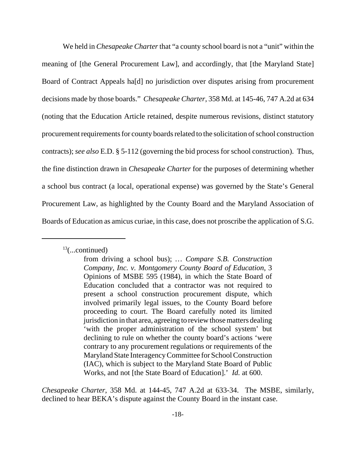We held in *Chesapeake Charter* that "a county school board is not a "unit" within the meaning of [the General Procurement Law], and accordingly, that [the Maryland State] Board of Contract Appeals ha[d] no jurisdiction over disputes arising from procurement decisions made by those boards." *Chesapeake Charter*, 358 Md. at 145-46, 747 A.2d at 634 (noting that the Education Article retained, despite numerous revisions, distinct statutory procurement requirements for county boards related to the solicitation of school construction contracts); *see also* E.D. § 5-112 (governing the bid process for school construction). Thus, the fine distinction drawn in *Chesapeake Charter* for the purposes of determining whether a school bus contract (a local, operational expense) was governed by the State's General Procurement Law, as highlighted by the County Board and the Maryland Association of Boards of Education as amicus curiae, in this case, does not proscribe the application of S.G.

 $13$ (...continued)

*Chesapeake Charter*, 358 Md. at 144-45, 747 A.2d at 633-34. The MSBE, similarly, declined to hear BEKA's dispute against the County Board in the instant case.

from driving a school bus); *… Compare S.B. Construction Company, Inc. v. Montgomery County Board of Education*, 3 Opinions of MSBE 595 (1984), in which the State Board of Education concluded that a contractor was not required to present a school construction procurement dispute, which involved primarily legal issues, to the County Board before proceeding to court. The Board carefully noted its limited jurisdiction in that area, agreeing to review those matters dealing 'with the proper administration of the school system' but declining to rule on whether the county board's actions 'were contrary to any procurement regulations or requirements of the Maryland State Interagency Committee for School Construction (IAC), which is subject to the Maryland State Board of Public Works, and not [the State Board of Education].' *Id.* at 600.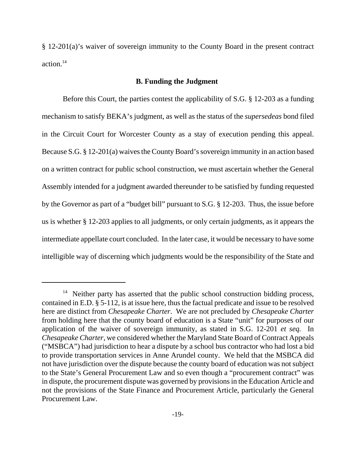§ 12-201(a)'s waiver of sovereign immunity to the County Board in the present contract action.14

### **B. Funding the Judgment**

Before this Court, the parties contest the applicability of S.G. § 12-203 as a funding mechanism to satisfy BEKA's judgment, as well as the status of the *supersedeas* bond filed in the Circuit Court for Worcester County as a stay of execution pending this appeal. Because S.G. § 12-201(a) waives the County Board's sovereign immunity in an action based on a written contract for public school construction, we must ascertain whether the General Assembly intended for a judgment awarded thereunder to be satisfied by funding requested by the Governor as part of a "budget bill" pursuant to S.G. § 12-203. Thus, the issue before us is whether § 12-203 applies to all judgments, or only certain judgments, as it appears the intermediate appellate court concluded. In the later case, it would be necessary to have some intelligible way of discerning which judgments would be the responsibility of the State and

 $14$  Neither party has asserted that the public school construction bidding process, contained in E.D. § 5-112, is at issue here, thus the factual predicate and issue to be resolved here are distinct from *Chesapeake Charter*. We are not precluded by *Chesapeake Charter* from holding here that the county board of education is a State "unit" for purposes of our application of the waiver of sovereign immunity, as stated in S.G. 12-201 *et seq.* In *Chesapeake Charter*, we considered whether the Maryland State Board of Contract Appeals ("MSBCA") had jurisdiction to hear a dispute by a school bus contractor who had lost a bid to provide transportation services in Anne Arundel county. We held that the MSBCA did not have jurisdiction over the dispute because the county board of education was not subject to the State's General Procurement Law and so even though a "procurement contract" was in dispute, the procurement dispute was governed by provisions in the Education Article and not the provisions of the State Finance and Procurement Article, particularly the General Procurement Law.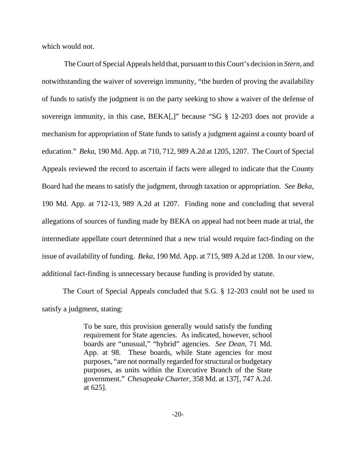which would not.

 The Court of Special Appeals held that, pursuant to this Court's decision in *Stern*, and notwithstanding the waiver of sovereign immunity, "the burden of proving the availability of funds to satisfy the judgment is on the party seeking to show a waiver of the defense of sovereign immunity, in this case, BEKA[,]" because "SG § 12-203 does not provide a mechanism for appropriation of State funds to satisfy a judgment against a county board of education." *Beka*, 190 Md. App. at 710, 712, 989 A.2d at 1205, 1207. The Court of Special Appeals reviewed the record to ascertain if facts were alleged to indicate that the County Board had the means to satisfy the judgment, through taxation or appropriation. *See Beka*, 190 Md. App. at 712-13, 989 A.2d at 1207. Finding none and concluding that several allegations of sources of funding made by BEKA on appeal had not been made at trial, the intermediate appellate court determined that a new trial would require fact-finding on the issue of availability of funding. *Beka*, 190 Md. App. at 715, 989 A.2d at 1208. In our view, additional fact-finding is unnecessary because funding is provided by statute.

The Court of Special Appeals concluded that S.G. § 12-203 could not be used to satisfy a judgment, stating:

> To be sure, this provision generally would satisfy the funding requirement for State agencies. As indicated, however, school boards are "unusual," "hybrid" agencies. *See Dean*, 71 Md. App. at 98. These boards, while State agencies for most purposes, "are not normally regarded for structural or budgetary purposes, as units within the Executive Branch of the State government." *Chesapeake Charter*, 358 Md. at 137[, 747 A.2d. at 625].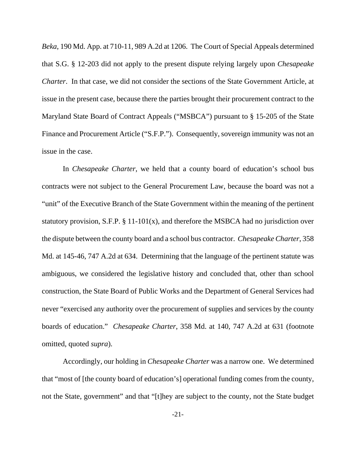*Beka*, 190 Md. App. at 710-11, 989 A.2d at 1206. The Court of Special Appeals determined that S.G. § 12-203 did not apply to the present dispute relying largely upon *Chesapeake Charter*. In that case, we did not consider the sections of the State Government Article, at issue in the present case, because there the parties brought their procurement contract to the Maryland State Board of Contract Appeals ("MSBCA") pursuant to § 15-205 of the State Finance and Procurement Article ("S.F.P."). Consequently, sovereign immunity was not an issue in the case.

In *Chesapeake Charter*, we held that a county board of education's school bus contracts were not subject to the General Procurement Law, because the board was not a "unit" of the Executive Branch of the State Government within the meaning of the pertinent statutory provision, S.F.P.  $\S 11-101(x)$ , and therefore the MSBCA had no jurisdiction over the dispute between the county board and a school bus contractor. *Chesapeake Charter*, 358 Md. at 145-46, 747 A.2d at 634. Determining that the language of the pertinent statute was ambiguous, we considered the legislative history and concluded that, other than school construction, the State Board of Public Works and the Department of General Services had never "exercised any authority over the procurement of supplies and services by the county boards of education." *Chesapeake Charter*, 358 Md. at 140, 747 A.2d at 631 (footnote omitted, quoted *supra*).

Accordingly, our holding in *Chesapeake Charter* was a narrow one. We determined that "most of [the county board of education's] operational funding comes from the county, not the State, government" and that "[t]hey are subject to the county, not the State budget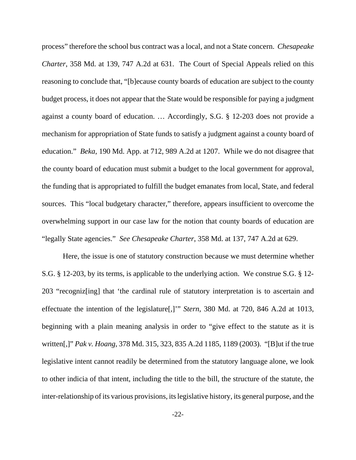process" therefore the school bus contract was a local, and not a State concern. *Chesapeake Charter*, 358 Md. at 139, 747 A.2d at 631. The Court of Special Appeals relied on this reasoning to conclude that, "[b]ecause county boards of education are subject to the county budget process, it does not appear that the State would be responsible for paying a judgment against a county board of education. … Accordingly, S.G. § 12-203 does not provide a mechanism for appropriation of State funds to satisfy a judgment against a county board of education." *Beka*, 190 Md. App. at 712, 989 A.2d at 1207. While we do not disagree that the county board of education must submit a budget to the local government for approval, the funding that is appropriated to fulfill the budget emanates from local, State, and federal sources. This "local budgetary character," therefore, appears insufficient to overcome the overwhelming support in our case law for the notion that county boards of education are "legally State agencies." *See Chesapeake Charter*, 358 Md. at 137, 747 A.2d at 629.

Here, the issue is one of statutory construction because we must determine whether S.G. § 12-203, by its terms, is applicable to the underlying action. We construe S.G. § 12- 203 "recogniz[ing] that 'the cardinal rule of statutory interpretation is to ascertain and effectuate the intention of the legislature[,]'" *Stern*, 380 Md. at 720, 846 A.2d at 1013, beginning with a plain meaning analysis in order to "give effect to the statute as it is written[,]" *Pak v. Hoang*, 378 Md. 315, 323, 835 A.2d 1185, 1189 (2003). "[B]ut if the true legislative intent cannot readily be determined from the statutory language alone, we look to other indicia of that intent, including the title to the bill, the structure of the statute, the inter-relationship of its various provisions, its legislative history, its general purpose, and the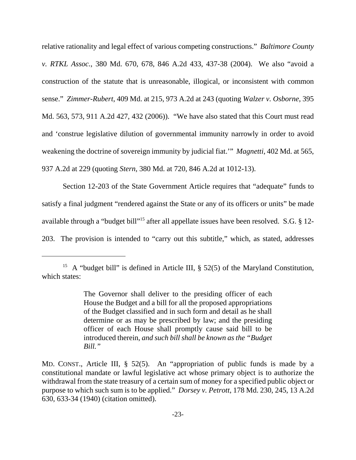relative rationality and legal effect of various competing constructions." *Baltimore County v. RTKL Assoc.*, 380 Md. 670, 678, 846 A.2d 433, 437-38 (2004). We also "avoid a construction of the statute that is unreasonable, illogical, or inconsistent with common sense." *Zimmer-Rubert*, 409 Md. at 215, 973 A.2d at 243 (quoting *Walzer v. Osborne*, 395 Md. 563, 573, 911 A.2d 427, 432 (2006)). "We have also stated that this Court must read and 'construe legislative dilution of governmental immunity narrowly in order to avoid weakening the doctrine of sovereign immunity by judicial fiat.'" *Magnetti*, 402 Md. at 565, 937 A.2d at 229 (quoting *Stern*, 380 Md. at 720, 846 A.2d at 1012-13).

Section 12-203 of the State Government Article requires that "adequate" funds to satisfy a final judgment "rendered against the State or any of its officers or units" be made available through a "budget bill"<sup>15</sup> after all appellate issues have been resolved. S.G. § 12-203. The provision is intended to "carry out this subtitle," which, as stated, addresses

<sup>&</sup>lt;sup>15</sup> A "budget bill" is defined in Article III,  $\S$  52(5) of the Maryland Constitution, which states:

The Governor shall deliver to the presiding officer of each House the Budget and a bill for all the proposed appropriations of the Budget classified and in such form and detail as he shall determine or as may be prescribed by law; and the presiding officer of each House shall promptly cause said bill to be introduced therein, *and such bill shall be known as the "Budget Bill."* 

MD. CONST., Article III, § 52(5). An "appropriation of public funds is made by a constitutional mandate or lawful legislative act whose primary object is to authorize the withdrawal from the state treasury of a certain sum of money for a specified public object or purpose to which such sum is to be applied." *Dorsey v. Petrott*, 178 Md. 230, 245, 13 A.2d 630, 633-34 (1940) (citation omitted).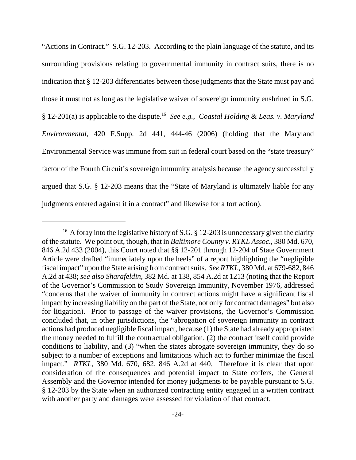"Actions in Contract." S.G. 12-203. According to the plain language of the statute, and its surrounding provisions relating to governmental immunity in contract suits, there is no indication that § 12-203 differentiates between those judgments that the State must pay and those it must not as long as the legislative waiver of sovereign immunity enshrined in S.G. § 12-201(a) is applicable to the dispute.16 *See e.g.*, *Coastal Holding & Leas. v. Maryland Environmental*, 420 F.Supp. 2d 441, 444-46 (2006) (holding that the Maryland Environmental Service was immune from suit in federal court based on the "state treasury" factor of the Fourth Circuit's sovereign immunity analysis because the agency successfully argued that S.G. § 12-203 means that the "State of Maryland is ultimately liable for any judgments entered against it in a contract" and likewise for a tort action).

<sup>&</sup>lt;sup>16</sup> A foray into the legislative history of S.G. § 12-203 is unnecessary given the clarity of the statute. We point out, though, that in *Baltimore County v. RTKL Assoc.*, 380 Md. 670, 846 A.2d 433 (2004), this Court noted that §§ 12-201 through 12-204 of State Government Article were drafted "immediately upon the heels" of a report highlighting the "negligible fiscal impact" upon the State arising from contract suits. *See RTKL*, 380 Md. at 679-682, 846 A.2d at 438; *see also Sharafeldin*, 382 Md. at 138, 854 A.2d at 1213 (noting that the Report of the Governor's Commission to Study Sovereign Immunity, November 1976, addressed "concerns that the waiver of immunity in contract actions might have a significant fiscal impact by increasing liability on the part of the State, not only for contract damages" but also for litigation). Prior to passage of the waiver provisions, the Governor's Commission concluded that, in other jurisdictions, the "abrogation of sovereign immunity in contract actions had produced negligible fiscal impact, because (1) the State had already appropriated the money needed to fulfill the contractual obligation, (2) the contract itself could provide conditions to liability, and (3) "when the states abrogate sovereign immunity, they do so subject to a number of exceptions and limitations which act to further minimize the fiscal impact." *RTKL*, 380 Md. 670, 682, 846 A.2d at 440. Therefore it is clear that upon consideration of the consequences and potential impact to State coffers, the General Assembly and the Governor intended for money judgments to be payable pursuant to S.G. § 12-203 by the State when an authorized contracting entity engaged in a written contract with another party and damages were assessed for violation of that contract.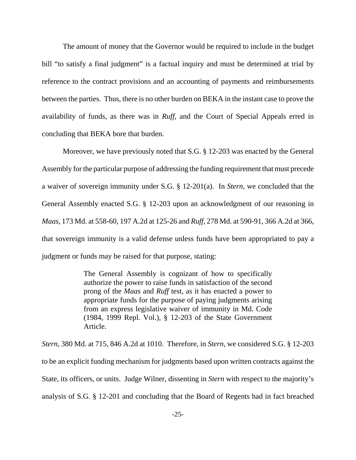The amount of money that the Governor would be required to include in the budget bill "to satisfy a final judgment" is a factual inquiry and must be determined at trial by reference to the contract provisions and an accounting of payments and reimbursements between the parties. Thus, there is no other burden on BEKA in the instant case to prove the availability of funds, as there was in *Ruff*, and the Court of Special Appeals erred in concluding that BEKA bore that burden.

Moreover, we have previously noted that S.G. § 12-203 was enacted by the General Assembly for the particular purpose of addressing the funding requirement that must precede a waiver of sovereign immunity under S.G. § 12-201(a). In *Stern*, we concluded that the General Assembly enacted S.G. § 12-203 upon an acknowledgment of our reasoning in *Maas*, 173 Md. at 558-60, 197 A.2d at 125-26 and *Ruff*, 278 Md. at 590-91, 366 A.2d at 366, that sovereign immunity is a valid defense unless funds have been appropriated to pay a judgment or funds may be raised for that purpose, stating:

> The General Assembly is cognizant of how to specifically authorize the power to raise funds in satisfaction of the second prong of the *Maas* and *Ruff* test, as it has enacted a power to appropriate funds for the purpose of paying judgments arising from an express legislative waiver of immunity in Md. Code (1984, 1999 Repl. Vol.), § 12-203 of the State Government Article.

*Stern*, 380 Md. at 715, 846 A.2d at 1010. Therefore, in *Stern*, we considered S.G. § 12-203 to be an explicit funding mechanism for judgments based upon written contracts against the State, its officers, or units. Judge Wilner, dissenting in *Stern* with respect to the majority's analysis of S.G. § 12-201 and concluding that the Board of Regents had in fact breached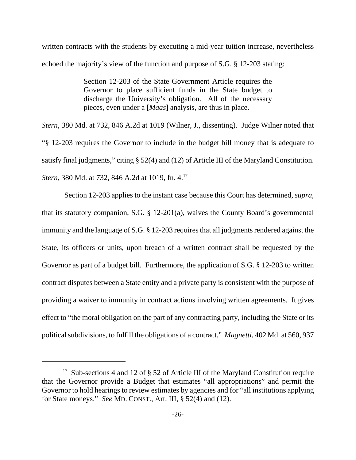written contracts with the students by executing a mid-year tuition increase, nevertheless echoed the majority's view of the function and purpose of S.G. § 12-203 stating:

> Section 12-203 of the State Government Article requires the Governor to place sufficient funds in the State budget to discharge the University's obligation. All of the necessary pieces, even under a [*Maas*] analysis, are thus in place.

*Stern*, 380 Md. at 732, 846 A.2d at 1019 (Wilner, J., dissenting). Judge Wilner noted that "§ 12-203 requires the Governor to include in the budget bill money that is adequate to satisfy final judgments," citing § 52(4) and (12) of Article III of the Maryland Constitution. *Stern*, 380 Md. at 732, 846 A.2d at 1019, fn. 4.<sup>17</sup>

 Section 12-203 applies to the instant case because this Court has determined, *supra*, that its statutory companion, S.G. § 12-201(a), waives the County Board's governmental immunity and the language of S.G. § 12-203 requires that all judgments rendered against the State, its officers or units, upon breach of a written contract shall be requested by the Governor as part of a budget bill. Furthermore, the application of S.G. § 12-203 to written contract disputes between a State entity and a private party is consistent with the purpose of providing a waiver to immunity in contract actions involving written agreements. It gives effect to "the moral obligation on the part of any contracting party, including the State or its political subdivisions, to fulfill the obligations of a contract." *Magnetti*, 402 Md. at 560, 937

<sup>&</sup>lt;sup>17</sup> Sub-sections 4 and 12 of  $\S$  52 of Article III of the Maryland Constitution require that the Governor provide a Budget that estimates "all appropriations" and permit the Governor to hold hearings to review estimates by agencies and for "all institutions applying for State moneys." *See* MD. CONST., Art. III, § 52(4) and (12).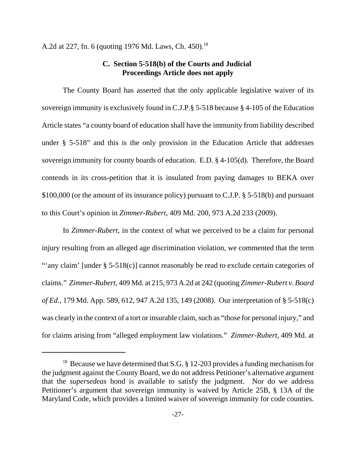A.2d at 227, fn. 6 (quoting 1976 Md. Laws, Ch. 450).<sup>18</sup>

## **C. Section 5-518(b) of the Courts and Judicial Proceedings Article does not apply**

The County Board has asserted that the only applicable legislative waiver of its sovereign immunity is exclusively found in C.J.P.§ 5-518 because § 4-105 of the Education Article states "a county board of education shall have the immunity from liability described under § 5-518" and this is the only provision in the Education Article that addresses sovereign immunity for county boards of education. E.D. § 4-105(d). Therefore, the Board contends in its cross-petition that it is insulated from paying damages to BEKA over \$100,000 (or the amount of its insurance policy) pursuant to C.J.P. § 5-518(b) and pursuant to this Court's opinion in *Zimmer-Rubert*, 409 Md. 200, 973 A.2d 233 (2009).

In *Zimmer-Rubert*, in the context of what we perceived to be a claim for personal injury resulting from an alleged age discrimination violation, we commented that the term "'any claim' [under § 5-518(c)] cannot reasonably be read to exclude certain categories of claims." *Zimmer-Rubert*, 409 Md. at 215, 973 A.2d at 242 (quoting *Zimmer-Rubert v. Board of Ed.*, 179 Md. App. 589, 612, 947 A.2d 135, 149 (2008). Our interpretation of § 5-518(c) was clearly in the context of a tort or insurable claim, such as "those for personal injury," and for claims arising from "alleged employment law violations." *Zimmer-Rubert*, 409 Md. at

<sup>&</sup>lt;sup>18</sup> Because we have determined that S.G.  $\S$  12-203 provides a funding mechanism for the judgment against the County Board, we do not address Petitioner's alternative argument that the *supersedeas* bond is available to satisfy the judgment. Nor do we address Petitioner's argument that sovereign immunity is waived by Article 25B, § 13A of the Maryland Code, which provides a limited waiver of sovereign immunity for code counties.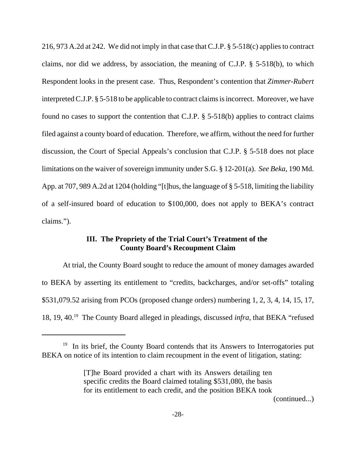216, 973 A.2d at 242. We did not imply in that case that C.J.P. § 5-518(c) applies to contract claims, nor did we address, by association, the meaning of C.J.P. § 5-518(b), to which Respondent looks in the present case. Thus, Respondent's contention that *Zimmer-Rubert* interpreted C.J.P. § 5-518 to be applicable to contract claims is incorrect. Moreover, we have found no cases to support the contention that C.J.P. § 5-518(b) applies to contract claims filed against a county board of education. Therefore, we affirm, without the need for further discussion, the Court of Special Appeals's conclusion that C.J.P. § 5-518 does not place limitations on the waiver of sovereign immunity under S.G. § 12-201(a). *See Beka*, 190 Md. App. at 707, 989 A.2d at 1204 (holding "[t]hus, the language of § 5-518, limiting the liability of a self-insured board of education to \$100,000, does not apply to BEKA's contract claims.").

## **III. The Propriety of the Trial Court's Treatment of the County Board's Recoupment Claim**

At trial, the County Board sought to reduce the amount of money damages awarded to BEKA by asserting its entitlement to "credits, backcharges, and/or set-offs" totaling \$531,079.52 arising from PCOs (proposed change orders) numbering 1, 2, 3, 4, 14, 15, 17, 18, 19, 40.19 The County Board alleged in pleadings, discussed *infra*, that BEKA "refused

(continued...)

 $19$  In its brief, the County Board contends that its Answers to Interrogatories put BEKA on notice of its intention to claim recoupment in the event of litigation, stating:

<sup>[</sup>T]he Board provided a chart with its Answers detailing ten specific credits the Board claimed totaling \$531,080, the basis for its entitlement to each credit, and the position BEKA took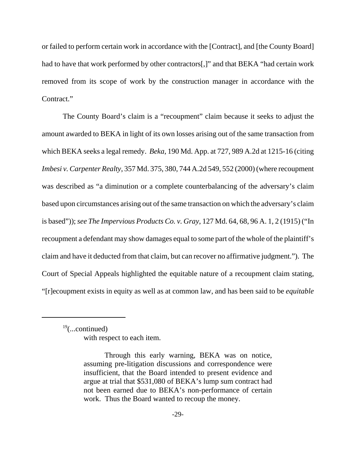or failed to perform certain work in accordance with the [Contract], and [the County Board] had to have that work performed by other contractors[,]" and that BEKA "had certain work removed from its scope of work by the construction manager in accordance with the Contract."

The County Board's claim is a "recoupment" claim because it seeks to adjust the amount awarded to BEKA in light of its own losses arising out of the same transaction from which BEKA seeks a legal remedy. *Beka*, 190 Md. App. at 727, 989 A.2d at 1215-16 (citing *Imbesi v. Carpenter Realty*, 357 Md. 375, 380, 744 A.2d 549, 552 (2000) (where recoupment was described as "a diminution or a complete counterbalancing of the adversary's claim based upon circumstances arising out of the same transaction on which the adversary's claim is based")); *see The Impervious Products Co. v. Gray*, 127 Md. 64, 68, 96 A. 1, 2 (1915) ("In recoupment a defendant may show damages equal to some part of the whole of the plaintiff's claim and have it deducted from that claim, but can recover no affirmative judgment."). The Court of Special Appeals highlighted the equitable nature of a recoupment claim stating, "[r]ecoupment exists in equity as well as at common law, and has been said to be *equitable*

 $19$ (...continued) with respect to each item.

Through this early warning, BEKA was on notice, assuming pre-litigation discussions and correspondence were insufficient, that the Board intended to present evidence and argue at trial that \$531,080 of BEKA's lump sum contract had not been earned due to BEKA's non-performance of certain work. Thus the Board wanted to recoup the money.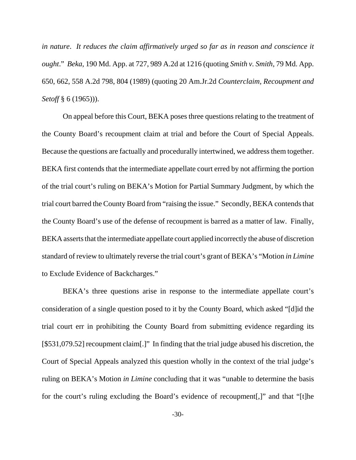*in nature*. *It reduces the claim affirmatively urged so far as in reason and conscience it ought*." *Beka*, 190 Md. App. at 727, 989 A.2d at 1216 (quoting *Smith v. Smith*, 79 Md. App. 650, 662, 558 A.2d 798, 804 (1989) (quoting 20 Am.Jr.2d *Counterclaim, Recoupment and Setoff* § 6 (1965))).

On appeal before this Court, BEKA poses three questions relating to the treatment of the County Board's recoupment claim at trial and before the Court of Special Appeals. Because the questions are factually and procedurally intertwined, we address them together. BEKA first contends that the intermediate appellate court erred by not affirming the portion of the trial court's ruling on BEKA's Motion for Partial Summary Judgment, by which the trial court barred the County Board from "raising the issue." Secondly, BEKA contends that the County Board's use of the defense of recoupment is barred as a matter of law. Finally, BEKA asserts that the intermediate appellate court applied incorrectly the abuse of discretion standard of review to ultimately reverse the trial court's grant of BEKA's "Motion *in Limine* to Exclude Evidence of Backcharges."

BEKA's three questions arise in response to the intermediate appellate court's consideration of a single question posed to it by the County Board, which asked "[d]id the trial court err in prohibiting the County Board from submitting evidence regarding its [\$531,079.52] recoupment claim[.]" In finding that the trial judge abused his discretion, the Court of Special Appeals analyzed this question wholly in the context of the trial judge's ruling on BEKA's Motion *in Limine* concluding that it was "unable to determine the basis for the court's ruling excluding the Board's evidence of recoupment[,]" and that "[t]he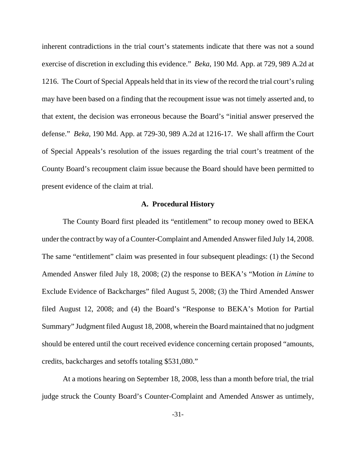inherent contradictions in the trial court's statements indicate that there was not a sound exercise of discretion in excluding this evidence." *Beka*, 190 Md. App. at 729, 989 A.2d at 1216. The Court of Special Appeals held that in its view of the record the trial court's ruling may have been based on a finding that the recoupment issue was not timely asserted and, to that extent, the decision was erroneous because the Board's "initial answer preserved the defense." *Beka*, 190 Md. App. at 729-30, 989 A.2d at 1216-17. We shall affirm the Court of Special Appeals's resolution of the issues regarding the trial court's treatment of the County Board's recoupment claim issue because the Board should have been permitted to present evidence of the claim at trial.

#### **A. Procedural History**

The County Board first pleaded its "entitlement" to recoup money owed to BEKA under the contract by way of a Counter-Complaint and Amended Answer filed July 14, 2008. The same "entitlement" claim was presented in four subsequent pleadings: (1) the Second Amended Answer filed July 18, 2008; (2) the response to BEKA's "Motion *in Limine* to Exclude Evidence of Backcharges" filed August 5, 2008; (3) the Third Amended Answer filed August 12, 2008; and (4) the Board's "Response to BEKA's Motion for Partial Summary" Judgment filed August 18, 2008, wherein the Board maintained that no judgment should be entered until the court received evidence concerning certain proposed "amounts, credits, backcharges and setoffs totaling \$531,080."

At a motions hearing on September 18, 2008, less than a month before trial, the trial judge struck the County Board's Counter-Complaint and Amended Answer as untimely,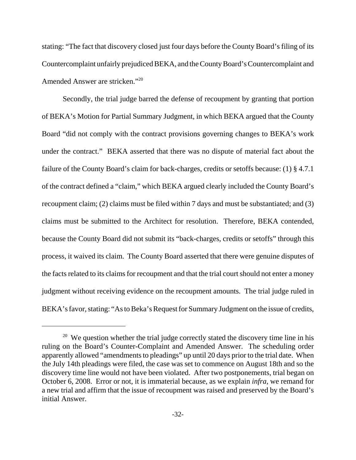stating: "The fact that discovery closed just four days before the County Board's filing of its Countercomplaint unfairly prejudiced BEKA, and the County Board's Countercomplaint and Amended Answer are stricken."20

Secondly, the trial judge barred the defense of recoupment by granting that portion of BEKA's Motion for Partial Summary Judgment, in which BEKA argued that the County Board "did not comply with the contract provisions governing changes to BEKA's work under the contract." BEKA asserted that there was no dispute of material fact about the failure of the County Board's claim for back-charges, credits or setoffs because: (1) § 4.7.1 of the contract defined a "claim," which BEKA argued clearly included the County Board's recoupment claim; (2) claims must be filed within 7 days and must be substantiated; and (3) claims must be submitted to the Architect for resolution. Therefore, BEKA contended, because the County Board did not submit its "back-charges, credits or setoffs" through this process, it waived its claim. The County Board asserted that there were genuine disputes of the facts related to its claims for recoupment and that the trial court should not enter a money judgment without receiving evidence on the recoupment amounts. The trial judge ruled in BEKA's favor, stating: "As to Beka's Request for Summary Judgment on the issue of credits,

 $20$  We question whether the trial judge correctly stated the discovery time line in his ruling on the Board's Counter-Complaint and Amended Answer. The scheduling order apparently allowed "amendments to pleadings" up until 20 days prior to the trial date. When the July 14th pleadings were filed, the case was set to commence on August 18th and so the discovery time line would not have been violated. After two postponements, trial began on October 6, 2008. Error or not, it is immaterial because, as we explain *infra*, we remand for a new trial and affirm that the issue of recoupment was raised and preserved by the Board's initial Answer.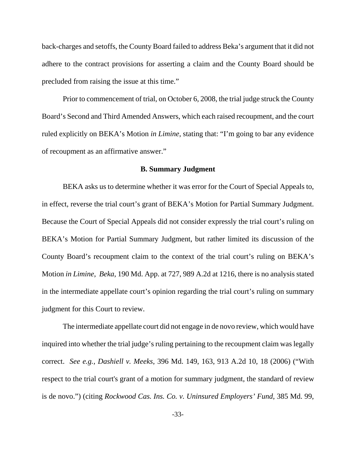back-charges and setoffs, the County Board failed to address Beka's argument that it did not adhere to the contract provisions for asserting a claim and the County Board should be precluded from raising the issue at this time."

Prior to commencement of trial, on October 6, 2008, the trial judge struck the County Board's Second and Third Amended Answers, which each raised recoupment, and the court ruled explicitly on BEKA's Motion *in Limine*, stating that: "I'm going to bar any evidence of recoupment as an affirmative answer."

### **B. Summary Judgment**

BEKA asks us to determine whether it was error for the Court of Special Appeals to, in effect, reverse the trial court's grant of BEKA's Motion for Partial Summary Judgment. Because the Court of Special Appeals did not consider expressly the trial court's ruling on BEKA's Motion for Partial Summary Judgment, but rather limited its discussion of the County Board's recoupment claim to the context of the trial court's ruling on BEKA's Motion *in Limine*, *Beka*, 190 Md. App. at 727, 989 A.2d at 1216, there is no analysis stated in the intermediate appellate court's opinion regarding the trial court's ruling on summary judgment for this Court to review.

The intermediate appellate court did not engage in de novo review, which would have inquired into whether the trial judge's ruling pertaining to the recoupment claim was legally correct. *See e.g., Dashiell v. Meeks*, 396 Md. 149, 163, 913 A.2d 10, 18 (2006) ("With respect to the trial court's grant of a motion for summary judgment, the standard of review is de novo.") (citing *Rockwood Cas. Ins. Co. v. Uninsured Employers' Fund*, 385 Md. 99,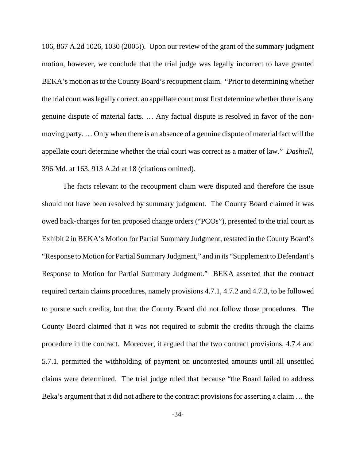106, 867 A.2d 1026, 1030 (2005)). Upon our review of the grant of the summary judgment motion, however, we conclude that the trial judge was legally incorrect to have granted BEKA's motion as to the County Board's recoupment claim. "Prior to determining whether the trial court was legally correct, an appellate court must first determine whether there is any genuine dispute of material facts. … Any factual dispute is resolved in favor of the nonmoving party. … Only when there is an absence of a genuine dispute of material fact will the appellate court determine whether the trial court was correct as a matter of law." *Dashiell*, 396 Md. at 163, 913 A.2d at 18 (citations omitted).

The facts relevant to the recoupment claim were disputed and therefore the issue should not have been resolved by summary judgment. The County Board claimed it was owed back-charges for ten proposed change orders ("PCOs"), presented to the trial court as Exhibit 2 in BEKA's Motion for Partial Summary Judgment, restated in the County Board's "Response to Motion for Partial Summary Judgment," and in its "Supplement to Defendant's Response to Motion for Partial Summary Judgment." BEKA asserted that the contract required certain claims procedures, namely provisions 4.7.1, 4.7.2 and 4.7.3, to be followed to pursue such credits, but that the County Board did not follow those procedures. The County Board claimed that it was not required to submit the credits through the claims procedure in the contract. Moreover, it argued that the two contract provisions, 4.7.4 and 5.7.1. permitted the withholding of payment on uncontested amounts until all unsettled claims were determined. The trial judge ruled that because "the Board failed to address Beka's argument that it did not adhere to the contract provisions for asserting a claim … the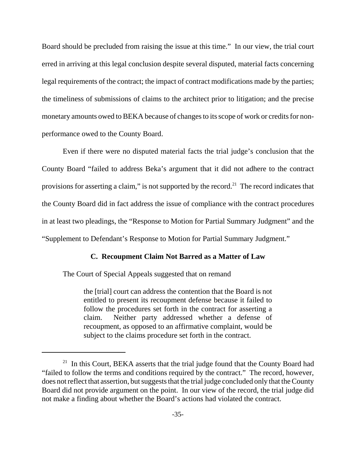Board should be precluded from raising the issue at this time." In our view, the trial court erred in arriving at this legal conclusion despite several disputed, material facts concerning legal requirements of the contract; the impact of contract modifications made by the parties; the timeliness of submissions of claims to the architect prior to litigation; and the precise monetary amounts owed to BEKA because of changes to its scope of work or credits for nonperformance owed to the County Board.

Even if there were no disputed material facts the trial judge's conclusion that the County Board "failed to address Beka's argument that it did not adhere to the contract provisions for asserting a claim," is not supported by the record.<sup>21</sup> The record indicates that the County Board did in fact address the issue of compliance with the contract procedures in at least two pleadings, the "Response to Motion for Partial Summary Judgment" and the "Supplement to Defendant's Response to Motion for Partial Summary Judgment."

### **C. Recoupment Claim Not Barred as a Matter of Law**

The Court of Special Appeals suggested that on remand

the [trial] court can address the contention that the Board is not entitled to present its recoupment defense because it failed to follow the procedures set forth in the contract for asserting a claim. Neither party addressed whether a defense of recoupment, as opposed to an affirmative complaint, would be subject to the claims procedure set forth in the contract.

 $21$  In this Court, BEKA asserts that the trial judge found that the County Board had "failed to follow the terms and conditions required by the contract." The record, however, does not reflect that assertion, but suggests that the trial judge concluded only that the County Board did not provide argument on the point. In our view of the record, the trial judge did not make a finding about whether the Board's actions had violated the contract.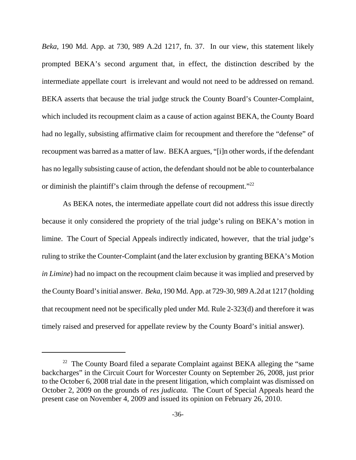*Beka*, 190 Md. App. at 730, 989 A.2d 1217, fn. 37. In our view, this statement likely prompted BEKA's second argument that, in effect, the distinction described by the intermediate appellate court is irrelevant and would not need to be addressed on remand. BEKA asserts that because the trial judge struck the County Board's Counter-Complaint, which included its recoupment claim as a cause of action against BEKA, the County Board had no legally, subsisting affirmative claim for recoupment and therefore the "defense" of recoupment was barred as a matter of law. BEKA argues, "[i]n other words, if the defendant has no legally subsisting cause of action, the defendant should not be able to counterbalance or diminish the plaintiff's claim through the defense of recoupment."<sup>22</sup>

As BEKA notes, the intermediate appellate court did not address this issue directly because it only considered the propriety of the trial judge's ruling on BEKA's motion in limine. The Court of Special Appeals indirectly indicated, however, that the trial judge's ruling to strike the Counter-Complaint (and the later exclusion by granting BEKA's Motion *in Limine*) had no impact on the recoupment claim because it was implied and preserved by the County Board's initial answer. *Beka*, 190 Md. App. at 729-30, 989 A.2d at 1217 (holding that recoupment need not be specifically pled under Md. Rule 2-323(d) and therefore it was timely raised and preserved for appellate review by the County Board's initial answer).

 $22$  The County Board filed a separate Complaint against BEKA alleging the "same" backcharges" in the Circuit Court for Worcester County on September 26, 2008, just prior to the October 6, 2008 trial date in the present litigation, which complaint was dismissed on October 2, 2009 on the grounds of *res judicata.* The Court of Special Appeals heard the present case on November 4, 2009 and issued its opinion on February 26, 2010.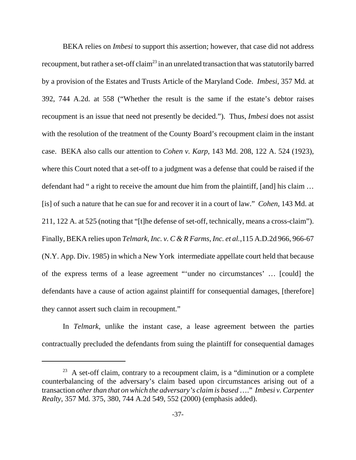BEKA relies on *Imbesi* to support this assertion; however, that case did not address recoupment, but rather a set-off claim<sup>23</sup> in an unrelated transaction that was statutorily barred by a provision of the Estates and Trusts Article of the Maryland Code. *Imbesi*, 357 Md. at 392, 744 A.2d. at 558 ("Whether the result is the same if the estate's debtor raises recoupment is an issue that need not presently be decided."). Thus, *Imbesi* does not assist with the resolution of the treatment of the County Board's recoupment claim in the instant case. BEKA also calls our attention to *Cohen v. Karp*, 143 Md. 208, 122 A. 524 (1923), where this Court noted that a set-off to a judgment was a defense that could be raised if the defendant had " a right to receive the amount due him from the plaintiff, [and] his claim … [is] of such a nature that he can sue for and recover it in a court of law." *Cohen*, 143 Md. at 211, 122 A. at 525 (noting that "[t]he defense of set-off, technically, means a cross-claim"). Finally, BEKA relies upon *Telmark, Inc. v. C & R Farms, Inc. et al.*,115 A.D.2d 966, 966-67 (N.Y. App. Div. 1985) in which a New York intermediate appellate court held that because of the express terms of a lease agreement "'under no circumstances' … [could] the defendants have a cause of action against plaintiff for consequential damages, [therefore] they cannot assert such claim in recoupment."

In *Telmark*, unlike the instant case, a lease agreement between the parties contractually precluded the defendants from suing the plaintiff for consequential damages

 $23$  A set-off claim, contrary to a recoupment claim, is a "diminution or a complete" counterbalancing of the adversary's claim based upon circumstances arising out of a transaction *other than that on which the adversary's claim is based* …." *Imbesi v. Carpenter Realty*, 357 Md. 375, 380, 744 A.2d 549, 552 (2000) (emphasis added).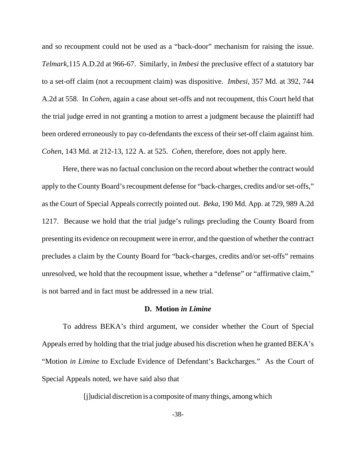and so recoupment could not be used as a "back-door" mechanism for raising the issue. *Telmark*,115 A.D.2d at 966-67. Similarly, in *Imbesi* the preclusive effect of a statutory bar to a set-off claim (not a recoupment claim) was dispositive. *Imbesi*, 357 Md. at 392, 744 A.2d at 558. In *Cohen*, again a case about set-offs and not recoupment, this Court held that the trial judge erred in not granting a motion to arrest a judgment because the plaintiff had been ordered erroneously to pay co-defendants the excess of their set-off claim against him. *Cohen*, 143 Md. at 212-13, 122 A. at 525. *Cohen*, therefore, does not apply here.

Here, there was no factual conclusion on the record about whether the contract would apply to the County Board's recoupment defense for "back-charges, credits and/or set-offs," as the Court of Special Appeals correctly pointed out. *Beka,* 190 Md. App. at 729, 989 A.2d 1217. Because we hold that the trial judge's rulings precluding the County Board from presenting its evidence on recoupment were in error, and the question of whether the contract precludes a claim by the County Board for "back-charges, credits and/or set-offs" remains unresolved, we hold that the recoupment issue, whether a "defense" or "affirmative claim," is not barred and in fact must be addressed in a new trial.

#### **D. Motion** *in Limine*

To address BEKA's third argument, we consider whether the Court of Special Appeals erred by holding that the trial judge abused his discretion when he granted BEKA's "Motion *in Limine* to Exclude Evidence of Defendant's Backcharges." As the Court of Special Appeals noted, we have said also that

[j]udicial discretion is a composite of many things, among which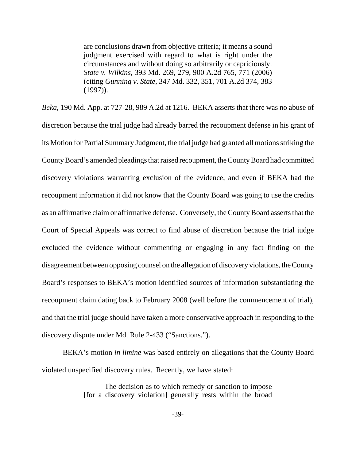are conclusions drawn from objective criteria; it means a sound judgment exercised with regard to what is right under the circumstances and without doing so arbitrarily or capriciously. *State v. Wilkins*, 393 Md. 269, 279, 900 A.2d 765, 771 (2006) (citing *Gunning v. State*, 347 Md. 332, 351, 701 A.2d 374, 383 (1997)).

*Beka*, 190 Md. App. at 727-28, 989 A.2d at 1216. BEKA asserts that there was no abuse of discretion because the trial judge had already barred the recoupment defense in his grant of its Motion for Partial Summary Judgment, the trial judge had granted all motions striking the County Board's amended pleadings that raised recoupment, the County Board had committed discovery violations warranting exclusion of the evidence, and even if BEKA had the recoupment information it did not know that the County Board was going to use the credits as an affirmative claim or affirmative defense. Conversely, the County Board asserts that the Court of Special Appeals was correct to find abuse of discretion because the trial judge excluded the evidence without commenting or engaging in any fact finding on the disagreement between opposing counsel on the allegation of discovery violations, the County Board's responses to BEKA's motion identified sources of information substantiating the recoupment claim dating back to February 2008 (well before the commencement of trial), and that the trial judge should have taken a more conservative approach in responding to the discovery dispute under Md. Rule 2-433 ("Sanctions.").

BEKA's motion *in limine* was based entirely on allegations that the County Board violated unspecified discovery rules. Recently, we have stated:

> The decision as to which remedy or sanction to impose [for a discovery violation] generally rests within the broad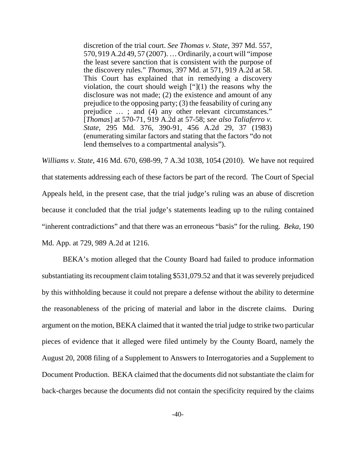discretion of the trial court. *See Thomas v. State*, 397 Md. 557, 570, 919 A.2d 49, 57 (2007). … Ordinarily, a court will "impose the least severe sanction that is consistent with the purpose of the discovery rules." *Thomas,* 397 Md. at 571, 919 A.2d at 58. This Court has explained that in remedying a discovery violation, the court should weigh  $[$ " $]$ (1) the reasons why the disclosure was not made; (2) the existence and amount of any prejudice to the opposing party; (3) the feasability of curing any prejudice … ; and (4) any other relevant circumstances." [*Thomas*] at 570-71, 919 A.2d at 57-58; *see also Taliaferro v. State*, 295 Md. 376, 390-91, 456 A.2d 29, 37 (1983) (enumerating similar factors and stating that the factors "do not lend themselves to a compartmental analysis").

*Williams v. State*, 416 Md. 670, 698-99, 7 A.3d 1038, 1054 (2010). We have not required that statements addressing each of these factors be part of the record. The Court of Special Appeals held, in the present case, that the trial judge's ruling was an abuse of discretion because it concluded that the trial judge's statements leading up to the ruling contained "inherent contradictions" and that there was an erroneous "basis" for the ruling. *Beka*, 190 Md. App. at 729, 989 A.2d at 1216.

BEKA's motion alleged that the County Board had failed to produce information substantiating its recoupment claim totaling \$531,079.52 and that it was severely prejudiced by this withholding because it could not prepare a defense without the ability to determine the reasonableness of the pricing of material and labor in the discrete claims. During argument on the motion, BEKA claimed that it wanted the trial judge to strike two particular pieces of evidence that it alleged were filed untimely by the County Board, namely the August 20, 2008 filing of a Supplement to Answers to Interrogatories and a Supplement to Document Production. BEKA claimed that the documents did not substantiate the claim for back-charges because the documents did not contain the specificity required by the claims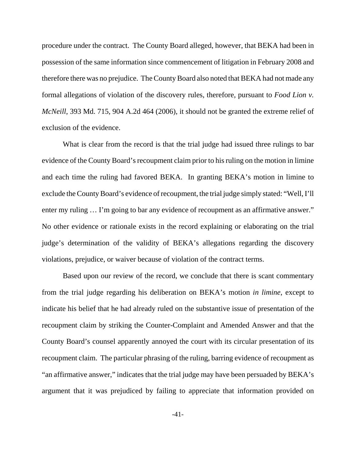procedure under the contract. The County Board alleged, however, that BEKA had been in possession of the same information since commencement of litigation in February 2008 and therefore there was no prejudice. The County Board also noted that BEKA had not made any formal allegations of violation of the discovery rules, therefore, pursuant to *Food Lion v. McNeill*, 393 Md. 715, 904 A.2d 464 (2006), it should not be granted the extreme relief of exclusion of the evidence.

What is clear from the record is that the trial judge had issued three rulings to bar evidence of the County Board's recoupment claim prior to his ruling on the motion in limine and each time the ruling had favored BEKA. In granting BEKA's motion in limine to exclude the County Board's evidence of recoupment, the trial judge simply stated: "Well, I'll enter my ruling ... I'm going to bar any evidence of recoupment as an affirmative answer." No other evidence or rationale exists in the record explaining or elaborating on the trial judge's determination of the validity of BEKA's allegations regarding the discovery violations, prejudice, or waiver because of violation of the contract terms.

Based upon our review of the record, we conclude that there is scant commentary from the trial judge regarding his deliberation on BEKA's motion *in limine*, except to indicate his belief that he had already ruled on the substantive issue of presentation of the recoupment claim by striking the Counter-Complaint and Amended Answer and that the County Board's counsel apparently annoyed the court with its circular presentation of its recoupment claim. The particular phrasing of the ruling, barring evidence of recoupment as "an affirmative answer," indicates that the trial judge may have been persuaded by BEKA's argument that it was prejudiced by failing to appreciate that information provided on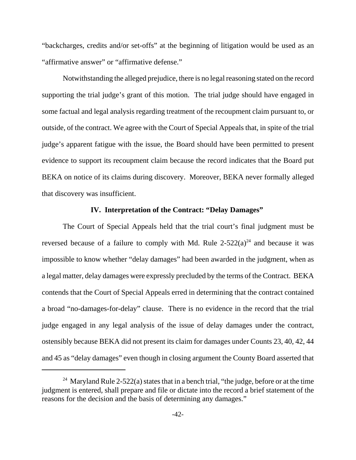"backcharges, credits and/or set-offs" at the beginning of litigation would be used as an "affirmative answer" or "affirmative defense."

Notwithstanding the alleged prejudice, there is no legal reasoning stated on the record supporting the trial judge's grant of this motion. The trial judge should have engaged in some factual and legal analysis regarding treatment of the recoupment claim pursuant to, or outside, of the contract. We agree with the Court of Special Appeals that, in spite of the trial judge's apparent fatigue with the issue, the Board should have been permitted to present evidence to support its recoupment claim because the record indicates that the Board put BEKA on notice of its claims during discovery. Moreover, BEKA never formally alleged that discovery was insufficient.

### **IV. Interpretation of the Contract: "Delay Damages"**

The Court of Special Appeals held that the trial court's final judgment must be reversed because of a failure to comply with Md. Rule  $2-522(a)^{24}$  and because it was impossible to know whether "delay damages" had been awarded in the judgment, when as a legal matter, delay damages were expressly precluded by the terms of the Contract. BEKA contends that the Court of Special Appeals erred in determining that the contract contained a broad "no-damages-for-delay" clause. There is no evidence in the record that the trial judge engaged in any legal analysis of the issue of delay damages under the contract, ostensibly because BEKA did not present its claim for damages under Counts 23, 40, 42, 44 and 45 as "delay damages" even though in closing argument the County Board asserted that

<sup>&</sup>lt;sup>24</sup> Maryland Rule 2-522(a) states that in a bench trial, "the judge, before or at the time judgment is entered, shall prepare and file or dictate into the record a brief statement of the reasons for the decision and the basis of determining any damages."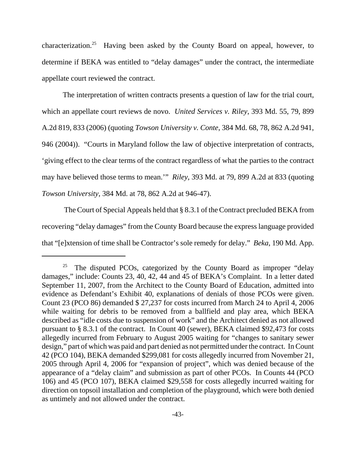characterization.<sup>25</sup> Having been asked by the County Board on appeal, however, to determine if BEKA was entitled to "delay damages" under the contract, the intermediate appellate court reviewed the contract.

The interpretation of written contracts presents a question of law for the trial court, which an appellate court reviews de novo. *United Services v. Riley*, 393 Md. 55, 79, 899 A.2d 819, 833 (2006) (quoting *Towson University v. Conte*, 384 Md. 68, 78, 862 A.2d 941, 946 (2004)). "Courts in Maryland follow the law of objective interpretation of contracts, 'giving effect to the clear terms of the contract regardless of what the parties to the contract may have believed those terms to mean.'" *Riley*, 393 Md. at 79, 899 A.2d at 833 (quoting *Towson University*, 384 Md. at 78, 862 A.2d at 946-47).

 The Court of Special Appeals held that § 8.3.1 of the Contract precluded BEKA from recovering "delay damages" from the County Board because the express language provided that "[e]xtension of time shall be Contractor's sole remedy for delay." *Beka*, 190 Md. App.

<sup>&</sup>lt;sup>25</sup> The disputed PCOs, categorized by the County Board as improper "delay" damages," include: Counts 23, 40, 42, 44 and 45 of BEKA's Complaint. In a letter dated September 11, 2007, from the Architect to the County Board of Education, admitted into evidence as Defendant's Exhibit 40, explanations of denials of those PCOs were given. Count 23 (PCO 86) demanded \$ 27,237 for costs incurred from March 24 to April 4, 2006 while waiting for debris to be removed from a ballfield and play area, which BEKA described as "idle costs due to suspension of work" and the Architect denied as not allowed pursuant to § 8.3.1 of the contract. In Count 40 (sewer), BEKA claimed \$92,473 for costs allegedly incurred from February to August 2005 waiting for "changes to sanitary sewer design," part of which was paid and part denied as not permitted under the contract. In Count 42 (PCO 104), BEKA demanded \$299,081 for costs allegedly incurred from November 21, 2005 through April 4, 2006 for "expansion of project", which was denied because of the appearance of a "delay claim" and submission as part of other PCOs. In Counts 44 (PCO 106) and 45 (PCO 107), BEKA claimed \$29,558 for costs allegedly incurred waiting for direction on topsoil installation and completion of the playground, which were both denied as untimely and not allowed under the contract.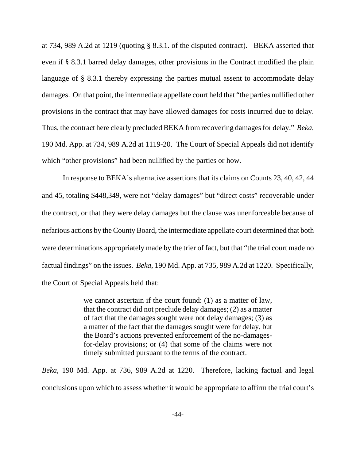at 734, 989 A.2d at 1219 (quoting § 8.3.1. of the disputed contract). BEKA asserted that even if § 8.3.1 barred delay damages, other provisions in the Contract modified the plain language of § 8.3.1 thereby expressing the parties mutual assent to accommodate delay damages. On that point, the intermediate appellate court held that "the parties nullified other provisions in the contract that may have allowed damages for costs incurred due to delay. Thus, the contract here clearly precluded BEKA from recovering damages for delay." *Beka*, 190 Md. App. at 734, 989 A.2d at 1119-20. The Court of Special Appeals did not identify which "other provisions" had been nullified by the parties or how.

In response to BEKA's alternative assertions that its claims on Counts 23, 40, 42, 44 and 45, totaling \$448,349, were not "delay damages" but "direct costs" recoverable under the contract, or that they were delay damages but the clause was unenforceable because of nefarious actions by the County Board, the intermediate appellate court determined that both were determinations appropriately made by the trier of fact, but that "the trial court made no factual findings" on the issues. *Beka*, 190 Md. App. at 735, 989 A.2d at 1220. Specifically, the Court of Special Appeals held that:

> we cannot ascertain if the court found: (1) as a matter of law, that the contract did not preclude delay damages; (2) as a matter of fact that the damages sought were not delay damages; (3) as a matter of the fact that the damages sought were for delay, but the Board's actions prevented enforcement of the no-damagesfor-delay provisions; or (4) that some of the claims were not timely submitted pursuant to the terms of the contract.

*Beka*, 190 Md. App. at 736, 989 A.2d at 1220. Therefore, lacking factual and legal conclusions upon which to assess whether it would be appropriate to affirm the trial court's

-44-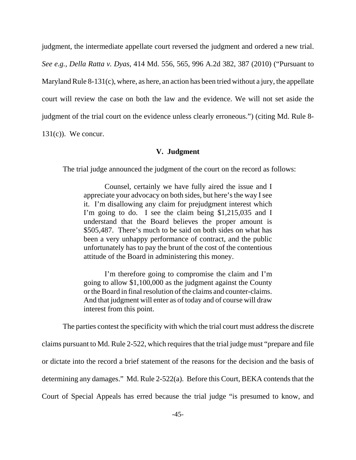judgment, the intermediate appellate court reversed the judgment and ordered a new trial.

*See e.g.*, *Della Ratta v. Dyas*, 414 Md. 556, 565, 996 A.2d 382, 387 (2010) ("Pursuant to

Maryland Rule 8-131(c), where, as here, an action has been tried without a jury, the appellate

court will review the case on both the law and the evidence. We will not set aside the

judgment of the trial court on the evidence unless clearly erroneous.") (citing Md. Rule 8-

 $131(c)$ ). We concur.

### **V. Judgment**

The trial judge announced the judgment of the court on the record as follows:

Counsel, certainly we have fully aired the issue and I appreciate your advocacy on both sides, but here's the way I see it. I'm disallowing any claim for prejudgment interest which I'm going to do. I see the claim being \$1,215,035 and I understand that the Board believes the proper amount is \$505,487. There's much to be said on both sides on what has been a very unhappy performance of contract, and the public unfortunately has to pay the brunt of the cost of the contentious attitude of the Board in administering this money.

I'm therefore going to compromise the claim and I'm going to allow \$1,100,000 as the judgment against the County or the Board in final resolution of the claims and counter-claims. And that judgment will enter as of today and of course will draw interest from this point.

The parties contest the specificity with which the trial court must address the discrete

claims pursuant to Md. Rule 2-522, which requires that the trial judge must "prepare and file or dictate into the record a brief statement of the reasons for the decision and the basis of determining any damages." Md. Rule 2-522(a). Before this Court, BEKA contends that the Court of Special Appeals has erred because the trial judge "is presumed to know, and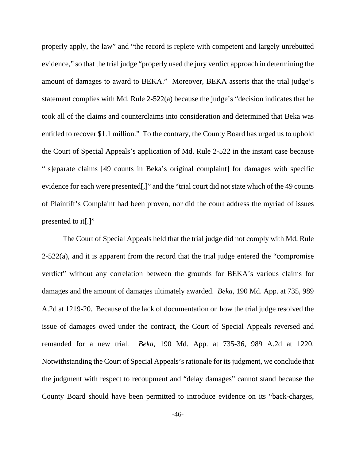properly apply, the law" and "the record is replete with competent and largely unrebutted evidence," so that the trial judge "properly used the jury verdict approach in determining the amount of damages to award to BEKA." Moreover, BEKA asserts that the trial judge's statement complies with Md. Rule 2-522(a) because the judge's "decision indicates that he took all of the claims and counterclaims into consideration and determined that Beka was entitled to recover \$1.1 million." To the contrary, the County Board has urged us to uphold the Court of Special Appeals's application of Md. Rule 2-522 in the instant case because "[s]eparate claims [49 counts in Beka's original complaint] for damages with specific evidence for each were presented[,]" and the "trial court did not state which of the 49 counts of Plaintiff's Complaint had been proven, nor did the court address the myriad of issues presented to it[.]"

The Court of Special Appeals held that the trial judge did not comply with Md. Rule  $2-522(a)$ , and it is apparent from the record that the trial judge entered the "compromise" verdict" without any correlation between the grounds for BEKA's various claims for damages and the amount of damages ultimately awarded. *Beka*, 190 Md. App. at 735, 989 A.2d at 1219-20. Because of the lack of documentation on how the trial judge resolved the issue of damages owed under the contract, the Court of Special Appeals reversed and remanded for a new trial. *Beka*, 190 Md. App. at 735-36, 989 A.2d at 1220. Notwithstanding the Court of Special Appeals's rationale for its judgment, we conclude that the judgment with respect to recoupment and "delay damages" cannot stand because the County Board should have been permitted to introduce evidence on its "back-charges,